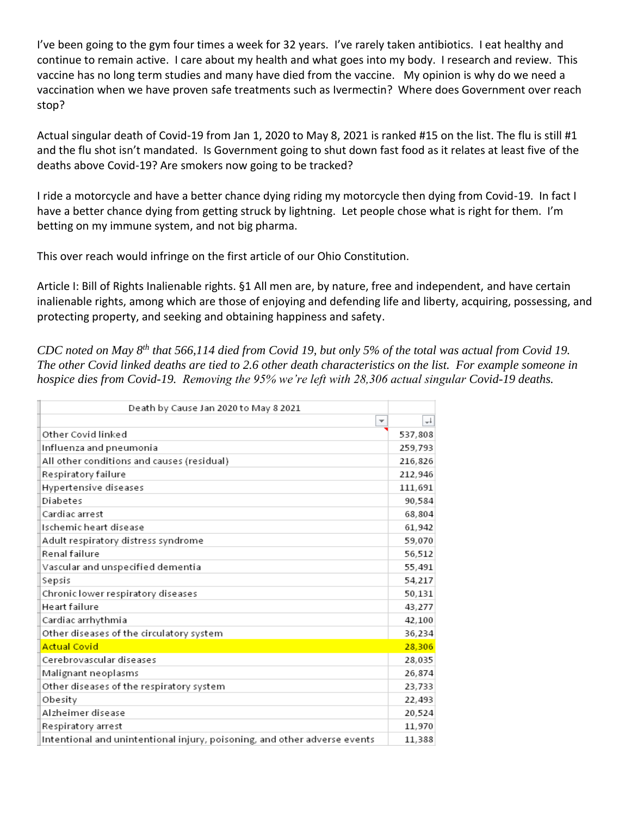I've been going to the gym four times a week for 32 years. I've rarely taken antibiotics. I eat healthy and continue to remain active. I care about my health and what goes into my body. I research and review. This vaccine has no long term studies and many have died from the vaccine. My opinion is why do we need a vaccination when we have proven safe treatments such as Ivermectin? Where does Government over reach stop?

Actual singular death of Covid-19 from Jan 1, 2020 to May 8, 2021 is ranked #15 on the list. The flu is still #1 and the flu shot isn't mandated. Is Government going to shut down fast food as it relates at least five of the deaths above Covid-19? Are smokers now going to be tracked?

I ride a motorcycle and have a better chance dying riding my motorcycle then dying from Covid-19. In fact I have a better chance dying from getting struck by lightning. Let people chose what is right for them. I'm betting on my immune system, and not big pharma.

This over reach would infringe on the first article of our Ohio Constitution.

Article I: Bill of Rights Inalienable rights. §1 All men are, by nature, free and independent, and have certain inalienable rights, among which are those of enjoying and defending life and liberty, acquiring, possessing, and protecting property, and seeking and obtaining happiness and safety.

*CDC noted on May 8th that 566,114 died from Covid 19, but only 5% of the total was actual from Covid 19. The other Covid linked deaths are tied to 2.6 other death characteristics on the list. For example someone in hospice dies from Covid-19. Removing the 95% we're left with 28,306 actual singular Covid-19 deaths.*

| Death by Cause Jan 2020 to May 8 2021                                     |         |
|---------------------------------------------------------------------------|---------|
| $\overline{\phantom{a}}$                                                  | $+1$    |
| Other Covid linked                                                        | 537,808 |
| Influenza and pneumonia                                                   | 259,793 |
| All other conditions and causes (residual)                                | 216,826 |
| Respiratory failure                                                       | 212,946 |
| Hypertensive diseases                                                     | 111,691 |
| Diabetes                                                                  | 90,584  |
| Cardiac arrest                                                            | 68,804  |
| Ischemic heart disease                                                    | 61,942  |
| Adult respiratory distress syndrome                                       | 59,070  |
| Renal failure                                                             | 56,512  |
| Vascular and unspecified dementia                                         | 55,491  |
| Sepsis                                                                    | 54,217  |
| Chronic lower respiratory diseases                                        | 50,131  |
| Heart failure                                                             | 43,277  |
| Cardiac arrhythmia                                                        | 42,100  |
| Other diseases of the circulatory system                                  | 36,234  |
| <b>Actual Covid</b>                                                       | 28,306  |
| Cerebrovascular diseases                                                  | 28,035  |
| Malignant neoplasms                                                       | 26,874  |
| Other diseases of the respiratory system                                  | 23,733  |
| Obesity                                                                   | 22,493  |
| Alzheimer disease                                                         | 20,524  |
| Respiratory arrest                                                        | 11,970  |
| Intentional and unintentional injury, poisoning, and other adverse events | 11,388  |